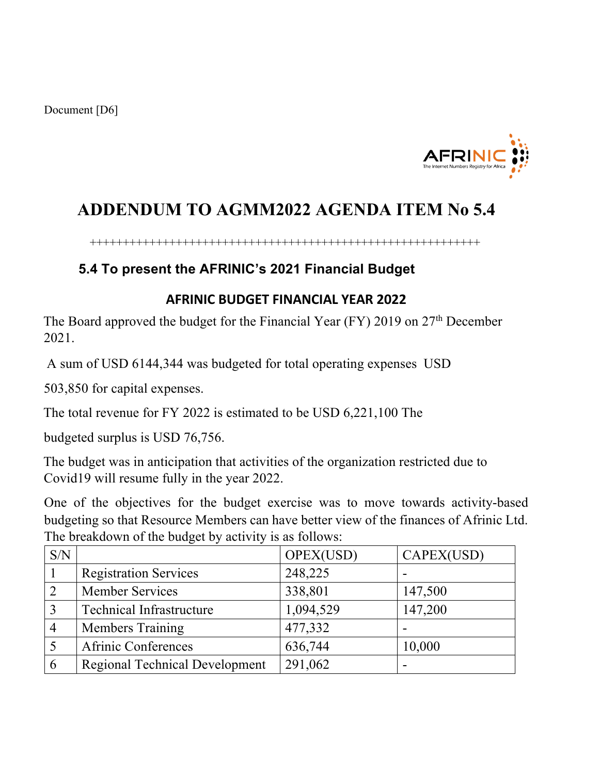

## **ADDENDUM TO AGMM2022 AGENDA ITEM No 5.4**

+++++++++++++++++++++++++++++++++++++++++++++++++++++++++++

## **5.4 To present the AFRINIC's 2021 Financial Budget**

## **AFRINIC BUDGET FINANCIAL YEAR 2022**

The Board approved the budget for the Financial Year (FY) 2019 on 27<sup>th</sup> December 2021.

A sum of USD 6144,344 was budgeted for total operating expenses USD

503,850 for capital expenses.

The total revenue for FY 2022 is estimated to be USD 6,221,100 The

budgeted surplus is USD 76,756.

The budget was in anticipation that activities of the organization restricted due to Covid19 will resume fully in the year 2022.

One of the objectives for the budget exercise was to move towards activity-based budgeting so that Resource Members can have better view of the finances of Afrinic Ltd. The breakdown of the budget by activity is as follows:

| S/N |                                       | OPEX(USD) | CAPEX(USD) |
|-----|---------------------------------------|-----------|------------|
|     | <b>Registration Services</b>          | 248,225   |            |
|     | <b>Member Services</b>                | 338,801   | 147,500    |
|     | <b>Technical Infrastructure</b>       | 1,094,529 | 147,200    |
|     | <b>Members Training</b>               | 477,332   |            |
|     | Afrinic Conferences                   | 636,744   | 10,000     |
| 6   | <b>Regional Technical Development</b> | 291,062   |            |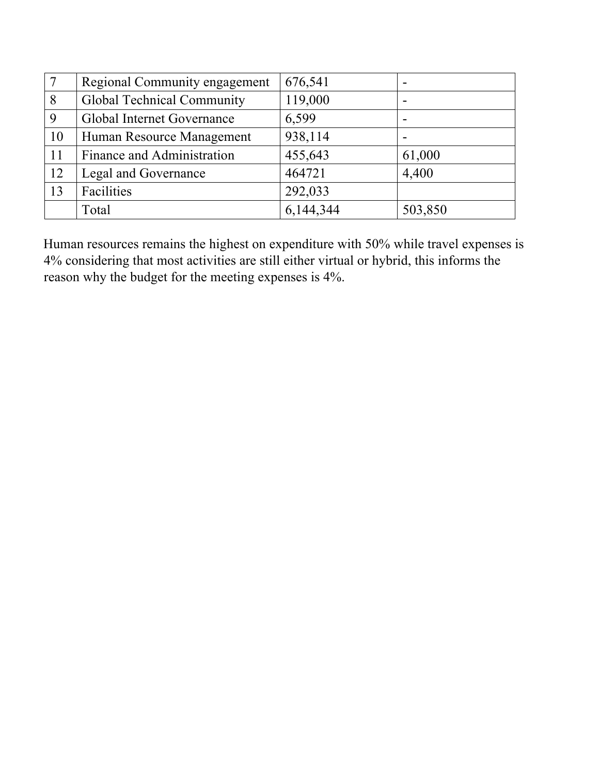| $\overline{7}$ | Regional Community engagement     | 676,541   |         |
|----------------|-----------------------------------|-----------|---------|
| 8              | <b>Global Technical Community</b> | 119,000   |         |
| 9              | Global Internet Governance        | 6,599     |         |
| 10             | Human Resource Management         | 938,114   |         |
| 11             | Finance and Administration        | 455,643   | 61,000  |
| 12             | Legal and Governance              | 464721    | 4,400   |
| 13             | Facilities                        | 292,033   |         |
|                | Total                             | 6,144,344 | 503,850 |

Human resources remains the highest on expenditure with 50% while travel expenses is 4% considering that most activities are still either virtual or hybrid, this informs the reason why the budget for the meeting expenses is 4%.